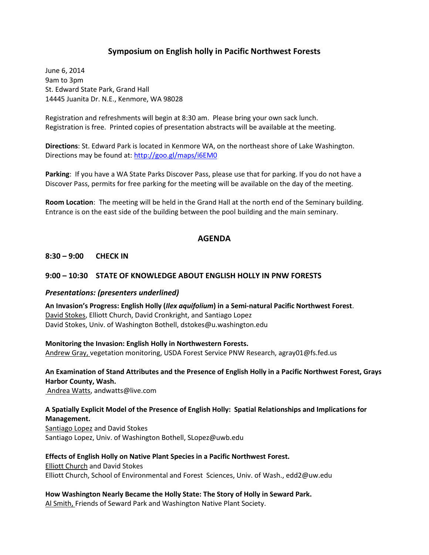## **Symposium on English holly in Pacific Northwest Forests**

June 6, 2014 9am to 3pm St. Edward State Park, Grand Hall 14445 Juanita Dr. N.E., Kenmore, WA 98028

Registration and refreshments will begin at 8:30 am. Please bring your own sack lunch. Registration is free. Printed copies of presentation abstracts will be available at the meeting.

**Directions**: St. Edward Park is located in Kenmore WA, on the northeast shore of Lake Washington. Directions may be found at:<http://goo.gl/maps/i6EM0>

**Parking**: If you have a WA State Parks Discover Pass, please use that for parking. If you do not have a Discover Pass, permits for free parking for the meeting will be available on the day of the meeting.

**Room Location**: The meeting will be held in the Grand Hall at the north end of the Seminary building. Entrance is on the east side of the building between the pool building and the main seminary.

#### **AGENDA**

#### **8:30 – 9:00 CHECK IN**

#### **9:00 – 10:30 STATE OF KNOWLEDGE ABOUT ENGLISH HOLLY IN PNW FORESTS**

#### *Presentations: (presenters underlined)*

**An Invasion's Progress: English Holly (***Ilex aquifolium***) in a Semi-natural Pacific Northwest Forest**. David Stokes, Elliott Church, David Cronkright, and Santiago Lopez David Stokes, Univ. of Washington Bothell, dstokes@u.washington.edu

**Monitoring the Invasion: English Holly in Northwestern Forests.** Andrew Gray, vegetation monitoring, USDA Forest Service PNW Research, agray01@fs.fed.us

# **An Examination of Stand Attributes and the Presence of English Holly in a Pacific Northwest Forest, Grays Harbor County, Wash.**

Andrea Watts, andwatts@live.com

#### **A Spatially Explicit Model of the Presence of English Holly: Spatial Relationships and Implications for Management.**

Santiago Lopez and David Stokes Santiago Lopez, Univ. of Washington Bothell, SLopez@uwb.edu

**Effects of English Holly on Native Plant Species in a Pacific Northwest Forest.** Elliott Church and David Stokes Elliott Church, School of Environmental and Forest Sciences, Univ. of Wash., [edd2@uw.edu](https://ap02.alpine.washington.edu/alpine/alpine/2.0/mailto?to=edd2%40uw%2Eedu&pop=view/0/INBOX/77106)

**How Washington Nearly Became the Holly State: The Story of Holly in Seward Park.**

Al Smith, Friends of Seward Park and Washington Native Plant Society.